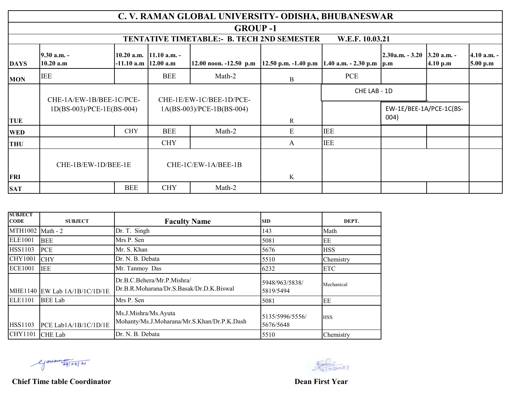|                          |                                                         |              |                                            | C.V. RAMAN GLOBAL UNIVERSITY- ODISHA, BHUBANESWAR       |                      |                           |                                 |                           |                         |
|--------------------------|---------------------------------------------------------|--------------|--------------------------------------------|---------------------------------------------------------|----------------------|---------------------------|---------------------------------|---------------------------|-------------------------|
|                          |                                                         |              |                                            | <b>GROUP-1</b>                                          |                      |                           |                                 |                           |                         |
|                          |                                                         |              |                                            | <b>TENTATIVE TIMETABLE: - B. TECH 2ND SEMESTER</b>      |                      | W.E.F. 10.03.21           |                                 |                           |                         |
| <b>DAYS</b>              | 9.30 a.m. -<br>10.20 a.m                                | $10.20$ a.m. | $11.10$ a.m. -<br>$-11.10$ a.m   12.00 a.m | 12.00 noon. $-12.50$ p.m                                | 12.50 p.m. -1.40 p.m | 1.40 a.m. $-2.30$ p.m p.m | $2.30a.m. - 3.20$               | $3.20$ a.m. -<br>4.10 p.m | 4.10 a.m. -<br>5.00 p.m |
| <b>MON</b>               | <b>IEE</b>                                              |              | <b>BEE</b>                                 | Math-2                                                  | B                    | PCE                       |                                 |                           |                         |
|                          | CHE-1A/EW-1B/BEE-1C/PCE-<br>$1D(BS-003)/PCE-1E(BS-004)$ |              |                                            | CHE-1E/EW-1C/BEE-1D/PCE-<br>$1A(BS-003)/PCE-1B(BS-004)$ |                      | CHE LAB - 1D              | EW-1E/BEE-1A/PCE-1C(BS-<br>004) |                           |                         |
| <b>TUE</b>               |                                                         |              |                                            |                                                         | $\mathbf{R}$         |                           |                                 |                           |                         |
| <b>WED</b>               |                                                         | <b>CHY</b>   | <b>BEE</b><br><b>CHY</b>                   | Math-2                                                  | E<br>A               | <b>IEE</b><br><b>IEE</b>  |                                 |                           |                         |
| <b>THU</b><br><b>FRI</b> | CHE-1C/EW-1A/BEE-1B<br>CHE-1B/EW-1D/BEE-1E              |              |                                            | K                                                       |                      |                           |                                 |                           |                         |
| <b>SAT</b>               |                                                         | <b>BEE</b>   | <b>CHY</b>                                 | Math-2                                                  |                      |                           |                                 |                           |                         |

| <b>SUBJECT</b><br><b>CODE</b> | <b>SUBJECT</b>                | <b>Faculty Name</b>                                                    | <b>SID</b>                   | DEPT.      |
|-------------------------------|-------------------------------|------------------------------------------------------------------------|------------------------------|------------|
| MTH1002 Math - 2              |                               | Dr. T. Singh                                                           | 143                          | Math       |
| ELE1001                       | <b>BEE</b>                    | Mrs P. Sen                                                             | 5081                         | EE         |
| <b>HSS1103</b>                | <b>PCE</b>                    | Mr. S. Khan                                                            | 5676                         | <b>HSS</b> |
| <b>CHY1001</b>                | <b>CHY</b>                    | Dr. N. B. Debata                                                       | 5510                         | Chemistry  |
| <b>ECE1001</b>                | <b>IEE</b>                    | Mr. Tanmoy Das                                                         | 6232                         | <b>ETC</b> |
|                               | MHE1140 EW Lab 1A/1B/1C/1D/1E | Dr.B.C.Behera/Mr.P.Mishra/<br>Dr.B.R.Moharana/Dr.S.Basak/Dr.D.K.Biswal | 5948/963/5838/<br>5819/5494  | Mechanical |
| <b>ELE1101</b>                | <b>BEE</b> Lab                | Mrs P. Sen                                                             | 5081                         | EE         |
| <b>HSS1103</b>                | PCE Lab1A/1B/1C/1D/1E         | Ms.J.Mishra/Ms.Ayuta<br>Mohanty/Ms.J.Moharana/Mr.S.Khan/Dr.P.K.Dash    | 5135/5996/5556/<br>5676/5648 | <b>HSS</b> |
| <b>CHY1101</b>                | <b>CHE</b> Lab                | Dr. N. B. Debata                                                       | 5510                         | Chemistry  |

Government of 103/21

 $E_{\text{12}}^{\text{th}}$ 

**Chief Time table Coordinator Dean First Year**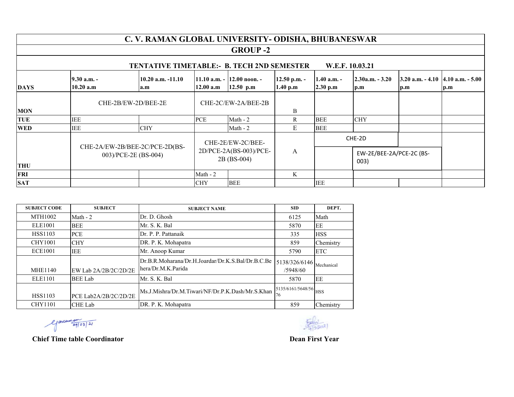|             |                                                                       | C.V. RAMAN GLOBAL UNIVERSITY- ODISHA, BHUBANESWAR |            |                                                            |                          |                         |                                              |     |                                                 |  |  |
|-------------|-----------------------------------------------------------------------|---------------------------------------------------|------------|------------------------------------------------------------|--------------------------|-------------------------|----------------------------------------------|-----|-------------------------------------------------|--|--|
|             |                                                                       |                                                   |            | <b>GROUP-2</b>                                             |                          |                         |                                              |     |                                                 |  |  |
|             | <b>TENTATIVE TIMETABLE: - B. TECH 2ND SEMESTER</b><br>W.E.F. 10.03.21 |                                                   |            |                                                            |                          |                         |                                              |     |                                                 |  |  |
| <b>DAYS</b> | $9.30$ a.m. -<br>10.20 a.m                                            | $10.20$ a.m. $-11.10$<br>a.m                      | 12.00 a.m  | 11.10 a.m. - 12.00 noon. -<br>$12.50$ p.m                  | 12.50 p.m. -<br>1.40 p.m | 1.40 a.m. -<br>2.30 p.m | $2.30a.m. - 3.20$<br>$\mathbf{D}.\mathbf{m}$ | p.m | $3.20$ a.m. $-4.10$  4.10 a.m. $-5.00$  <br>p.m |  |  |
| <b>MON</b>  | CHE-2B/EW-2D/BEE-2E                                                   |                                                   |            | CHE-2C/EW-2A/BEE-2B                                        |                          |                         |                                              |     |                                                 |  |  |
| <b>TUE</b>  | <b>IEE</b>                                                            |                                                   | PCE        | Math - 2                                                   | R                        | <b>BEE</b>              | <b>CHY</b>                                   |     |                                                 |  |  |
| <b>WED</b>  | <b>IEE</b>                                                            | <b>CHY</b>                                        |            | Math $-2$                                                  | E                        | <b>BEE</b>              |                                              |     |                                                 |  |  |
|             |                                                                       |                                                   |            | CHE-2E/EW-2C/BEE-<br>2D/PCE-2A(BS-003)/PCE-<br>2B (BS-004) |                          |                         | CHE-2D                                       |     |                                                 |  |  |
| <b>THU</b>  | CHE-2A/EW-2B/BEE-2C/PCE-2D(BS-<br>003)/PCE-2E (BS-004)                |                                                   |            |                                                            |                          |                         | EW-2E/BEE-2A/PCE-2C (BS-<br>003)             |     |                                                 |  |  |
| <b>FRI</b>  |                                                                       |                                                   | Math - 2   |                                                            | K                        |                         |                                              |     |                                                 |  |  |
| <b>SAT</b>  |                                                                       |                                                   | <b>CHY</b> | <b>BEE</b>                                                 |                          | <b>IEE</b>              |                                              |     |                                                 |  |  |

| <b>SUBJECT CODE</b> | <b>SUBJECT</b>        | <b>SUBJECT NAME</b>                                                     | <b>SID</b>                               | DEPT.      |
|---------------------|-----------------------|-------------------------------------------------------------------------|------------------------------------------|------------|
| <b>MTH1002</b>      | Math $-2$             | Dr. D. Ghosh                                                            | 6125                                     | Math       |
| <b>ELE1001</b>      | BEE                   | Mr. S. K. Bal                                                           | 5870                                     | EE         |
| <b>HSS1103</b>      | PCE                   | Dr. P. P. Pattanaik                                                     | 335                                      | <b>HSS</b> |
| <b>CHY1001</b>      | <b>CHY</b>            | DR. P. K. Mohapatra                                                     | 859                                      | Chemistry  |
| <b>ECE1001</b>      | IEE                   | Mr. Anoop Kumar                                                         | 5790                                     | <b>ETC</b> |
| <b>MHE1140</b>      | EW Lab 2A/2B/2C/2D/2E | Dr.B.R.Moharana/Dr.H.Joardar/Dr.K.S.Bal/Dr.B.C.Be<br>hera/Dr.M.K.Parida | $ 5138/326/6146 $ Mechanical<br>/5948/60 |            |
| ELE1101             | <b>BEE</b> Lab        | Mr. S. K. Bal                                                           | 5870                                     | EE         |
| <b>HSS1103</b>      | PCE Lab2A/2B/2C/2D/2E | Ms.J.Mishra/Dr.M.Tiwari/NF/Dr.P.K.Dash/Mr.S.Khan                        | $15135/6161/5648/56$ HSS<br>76           |            |
| <b>CHY1101</b>      | <b>CHE Lab</b>        | DR. P. K. Mohapatra                                                     | 859                                      | Chemistry  |

Government 09/03/21

 $E_{\text{15}}^{\text{f}}(x)$ 

**Chief Time table Coordinator Dean First Year**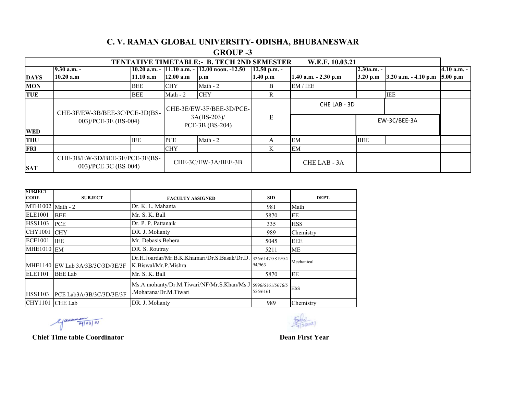**GROUP -3**

|             |                                                        |            |                                 | <b>TENTATIVE TIMETABLE: - B. TECH 2ND SEMESTER</b>      |                            | W.E.F. 10.03.21          |                          |                                |               |
|-------------|--------------------------------------------------------|------------|---------------------------------|---------------------------------------------------------|----------------------------|--------------------------|--------------------------|--------------------------------|---------------|
| <b>DAYS</b> | $9.30$ a.m. -<br>10.20 a.m                             | 11.10 a.m  | 12.00 a.m                       | [10.20 a.m. - [11.10 a.m. - [12.00 noon. -12.50]<br>p.m | $12.50$ p.m. -<br>1.40 p.m | $1.40$ a.m. $- 2.30$ p.m | $2.30a.m. -$<br>3.20 p.m | 3.20 a.m. $-4.10$ p.m 5.00 p.m | $4.10 a.m. -$ |
| <b>MON</b>  |                                                        | <b>BEE</b> | <b>CHY</b>                      | Math $-2$                                               | B                          | EM/IEE                   |                          |                                |               |
| <b>TUE</b>  |                                                        | BEE        | Math $-2$                       | <b>CHY</b>                                              | R                          |                          |                          | <b>IEE</b>                     |               |
|             | CHE-3F/EW-3B/BEE-3C/PCE-3D(BS-<br>003)/PCE-3E (BS-004) |            |                                 | CHE-3E/EW-3F/BEE-3D/PCE-                                |                            | CHE LAB - 3D             |                          |                                |               |
|             |                                                        |            | $3A(BS-203)$<br>PCE-3B (BS-204) |                                                         | E                          |                          | EW-3C/BEE-3A             |                                |               |
| <b>WED</b>  |                                                        |            |                                 |                                                         |                            |                          |                          |                                |               |
| <b>THU</b>  |                                                        | <b>IEE</b> | <b>PCE</b>                      | Math - 2                                                | А                          | EM                       | <b>BEE</b>               |                                |               |
| <b>FRI</b>  |                                                        |            | <b>CHY</b>                      |                                                         | K                          | EM                       |                          |                                |               |
| <b>SAT</b>  | CHE-3B/EW-3D/BEE-3E/PCE-3F(BS-<br>003)/PCE-3C (BS-004) |            |                                 | CHE-3C/EW-3A/BEE-3B                                     |                            | CHE LAB - 3A             |                          |                                |               |

| <b>SUBJECT</b><br><b>CODE</b> | <b>SUBJECT</b>                   | <b>FACULTY ASSIGNED</b>                                                              | <b>SID</b>                 | DEPT.      |
|-------------------------------|----------------------------------|--------------------------------------------------------------------------------------|----------------------------|------------|
| MTH1002 Math - 2              |                                  | Dr. K. L. Mahanta                                                                    | 981                        | Math       |
| <b>ELE1001</b>                | <b>BEE</b>                       | Mr. S. K. Ball                                                                       | 5870                       | EE         |
| <b>HSS1103</b>                | <b>PCE</b>                       | Dr. P. P. Pattanaik                                                                  | 335                        | <b>HSS</b> |
| <b>CHY1001</b>                | <b>CHY</b>                       | DR. J. Mohanty                                                                       | 989                        | Chemistry  |
| <b>ECE1001</b>                | <b>IEE</b>                       | Mr. Debasis Behera                                                                   | 5045                       | <b>EEE</b> |
| <b>MHE1010 EM</b>             |                                  | DR. S. Routray                                                                       | 5211                       | ME         |
|                               | MHE1140 EW Lab 3A/3B/3C/3D/3E/3F | Dr.H.Joardar/Mr.B.K.Khamari/Dr.S.Basak/Dr.D.<br>K.Biswal/Mr.P.Mishra                 | 326/6147/5819/54<br>94/963 | Mechanical |
| <b>ELE1101</b>                | <b>BEE</b> Lab                   | Mr. S. K. Ball                                                                       | 5870                       | EE         |
| <b>HSS1103</b>                | PCE Lab3A/3B/3C/3D/3E/3F         | Ms.A.mohanty/Dr.M.Tiwari/NF/Mr.S.Khan/Ms.J 5996/6161/5676/5<br>.Moharana/Dr.M.Tiwari | 556/6161                   | <b>HSS</b> |
| <b>CHY1101</b>                | <b>CHE</b> Lab                   | DR. J. Mohanty                                                                       | 989                        | Chemistry  |

equinos agloss 21



**Chief Time table Coordinator Dean First Year**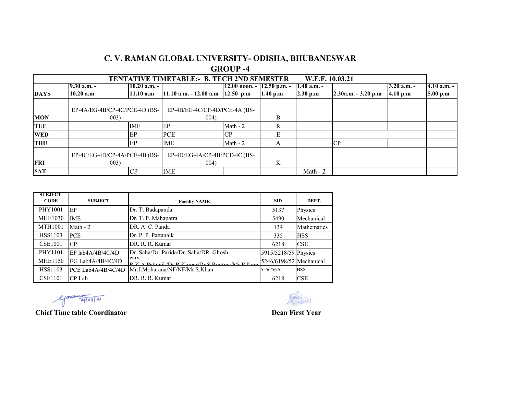**GROUP -4**

|             |                               |                | <b>TENTATIVE TIMETABLE: - B. TECH 2ND SEMESTER</b> |                                |          | W.E.F. 10.03.21 |                       |               |             |
|-------------|-------------------------------|----------------|----------------------------------------------------|--------------------------------|----------|-----------------|-----------------------|---------------|-------------|
|             | $9.30$ a.m. -                 | $10.20$ a.m. - |                                                    | 12.00 noon. $-$ 12.50 p.m. $-$ |          | 1.40 a.m. -     |                       | $3.20 a.m. -$ | 4.10 a.m. - |
| <b>DAYS</b> | 10.20 a.m                     | 11.10 a.m      | $11.10$ a.m. $-12.00$ a.m $12.50$ p.m              |                                | 1.40 p.m | 2.30 p.m        | $2.30a.m. - 3.20 p.m$ | 4.10 p.m      | 5.00 p.m    |
|             |                               |                |                                                    |                                |          |                 |                       |               |             |
|             | EP-4A/EG-4B/CP-4C/PCE-4D (BS- |                | EP-4B/EG-4C/CP-4D/PCE-4A (BS-                      |                                |          |                 |                       |               |             |
| <b>MON</b>  | 003)                          |                | 004)                                               |                                | B        |                 |                       |               |             |
| <b>TUE</b>  |                               | <b>IME</b>     | $E$ P                                              | Math $-2$                      | R        |                 |                       |               |             |
| <b>WED</b>  |                               | EP             | <b>PCE</b>                                         | CP                             |          |                 |                       |               |             |
| <b>THU</b>  |                               | EP             | <b>IME</b>                                         | Math $-2$                      | A        |                 | CP                    |               |             |
|             | EP-4C/EG-4D/CP-4A/PCE-4B (BS- |                | $EP-4D/EG-4A/CP-4B/PCE-4C(BS-$                     |                                |          |                 |                       |               |             |
| <b>FRI</b>  | 003)                          |                | 004)                                               |                                | K        |                 |                       |               |             |
| <b>SAT</b>  |                               | CP             | <b>IME</b>                                         |                                |          | Math - 2        |                       |               |             |

| <b>SUBJECT</b><br><b>CODE</b> | <b>SUBJECT</b>     | <b>Faculty NAME</b>                    | SID.                    | DEPT.       |
|-------------------------------|--------------------|----------------------------------------|-------------------------|-------------|
| PHY1001                       | EP                 | Dr. T. Badapanda                       | 5137                    | Physics     |
| <b>MHE1030</b>                | <b>IME</b>         | Dr. T. P. Mahapatra                    | 5490                    | Mechanical  |
| <b>MTH1001</b>                | Math $-2$          | DR. A. C. Panda                        | 134                     | Mathematics |
| <b>HSS1103</b>                | <b>PCE</b>         | Dr. P. P. Pattanaik                    | 335                     | <b>HSS</b>  |
| <b>CSE1001</b>                | CP                 | DR. R. R. Kumar                        | 6218                    | CSE         |
| PHY1101                       | EP lab4A/4B/4C/4D  | Dr. Saha/Dr. Parida/Dr. Saha/DR. Ghosh | 5915/5218/59 Physics    |             |
| <b>MHE1150</b>                | EG Lab4A/4B/4C/4D  | IVII S.<br>$D V A Data: \Delta V$      | 5246/6198/52 Mechanical |             |
| <b>HSS1103</b>                | PCE Lab4A/4B/4C/4D | Mr.J.Moharana/NF/NF/Mr.S.Khan          | 5556/5676               | <b>HSS</b>  |
| <b>CSE1101</b>                | CP Lab             | DR. R. R. Kumar                        | 6218                    | CSE         |

 $1000$ 7

**Chief Time table Coordinator Dean First Year**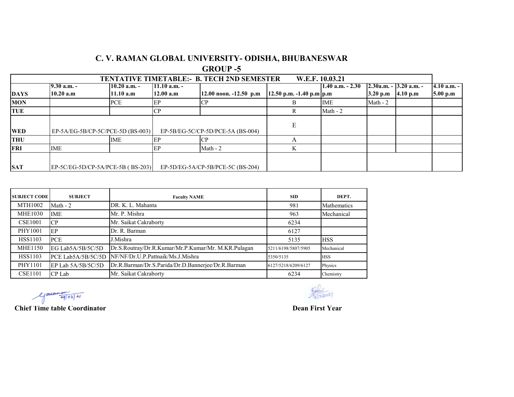**GROUP -5**

|             |                                     |                |                | <b>TENTATIVE TIMETABLE: - B. TECH 2ND SEMESTER</b> |                            | W.E.F. 10.03.21      |            |                         |               |
|-------------|-------------------------------------|----------------|----------------|----------------------------------------------------|----------------------------|----------------------|------------|-------------------------|---------------|
|             | $9.30$ a.m. -                       | $10.20$ a.m. - | $11.10$ a.m. - |                                                    |                            | $1.40$ a.m. $- 2.30$ |            | $2.30a.m. - 3.20a.m. -$ | $4.10 a.m. -$ |
| <b>DAYS</b> | 10.20 a.m                           | 11.10 a.m      | 12.00 a.m      | 12.00 noon. $-12.50$ p.m                           | 12.50 p.m. $-1.40$ p.m p.m |                      | $3.20$ p.m | 4.10 p.m                | 5.00 p.m      |
| <b>MON</b>  |                                     | PCE            | <b>IEP</b>     | CP                                                 |                            | IME                  | Math - 2   |                         |               |
| <b>TUE</b>  |                                     |                | $\mathbf{C}$   |                                                    |                            | Math $-2$            |            |                         |               |
| <b>WED</b>  | $EP-5A/EG-5B/CP-5C/PCE-5D (BS-003)$ |                |                | $EP-5B/EG-5C/CP-5D/PCE-5A (BS-004)$                |                            |                      |            |                         |               |
| <b>THU</b>  |                                     | <b>IME</b>     | EP             |                                                    |                            |                      |            |                         |               |
| <b>FRI</b>  | IME                                 |                | EP             | Math $-2$                                          |                            |                      |            |                         |               |
|             |                                     |                |                |                                                    |                            |                      |            |                         |               |
| <b>SAT</b>  | EP-5C/EG-5D/CP-5A/PCE-5B (BS-203)   |                |                | EP-5D/EG-5A/CP-5B/PCE-5C (BS-204)                  |                            |                      |            |                         |               |

| <b>SUBJECT CODE</b> | <b>SUBJECT</b>       | <b>Faculty NAME</b>                                 | <b>SID</b>          | DEPT.              |
|---------------------|----------------------|-----------------------------------------------------|---------------------|--------------------|
| <b>MTH1002</b>      | Math $-2$            | DR. K. L. Mahanta                                   | 981                 | <b>Mathematics</b> |
| <b>MHE1030</b>      | <b>IME</b>           | Mr. P. Mishra                                       | 963                 | Mechanical         |
| <b>CSE1001</b>      | CP                   | Mr. Saikat Cakraborty                               | 6234                |                    |
| PHY1001             | EP                   | Dr. R. Barman                                       | 6127                |                    |
| <b>HSS1103</b>      | <b>PCE</b>           | J.Mishra                                            | 5135                | <b>HSS</b>         |
| <b>MHE1150</b>      | EG Lab5A/5B/5C/5D    | Dr.S.Routray/Dr.R.Kumar/Mr.P.Kumar/Mr. M.KR.Pulagan | 5211/6198/5807/5905 | Mechanical         |
| <b>HSS1103</b>      | PCE Lab5A/5B/5C/5D   | NF/NF/Dr.U.P.Pattnaik/Ms.J.Mishra                   | 5350/5135           | <b>HSS</b>         |
| PHY1101             | EP Lab $5A/5B/5C/5D$ | Dr.R.Barman/Dr.S.Parida/Dr.D.Bannerjee/Dr.R.Barman  | 6127/5218/6209/6127 | Physics            |
| <b>CSE1101</b>      | CP Lab               | Mr. Saikat Cakraborty                               | 6234                | Chemistry          |

 $\frac{1}{\log |03|^{24}}$ 

**Chief Time table Coordinator Dean First Year**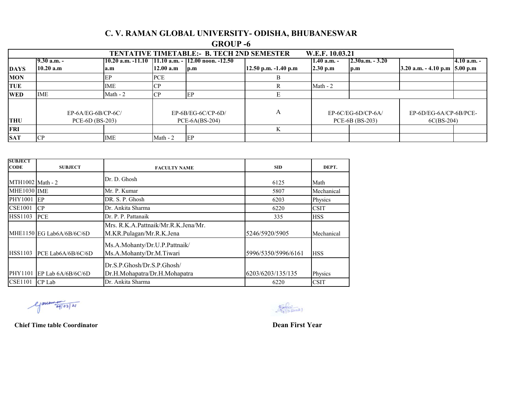#### **GROUP -6**

|             |                                          |                       |           | <b>TENTATIVE TIMETABLE: - B. TECH 2ND SEMESTER</b> |                          | W.E.F. 10.03.21 |                                         |                                        |               |
|-------------|------------------------------------------|-----------------------|-----------|----------------------------------------------------|--------------------------|-----------------|-----------------------------------------|----------------------------------------|---------------|
|             | $9.30$ a.m. -                            | $10.20$ a.m. $-11.10$ |           | $11.10$ a.m. $-12.00$ noon. $-12.50$               |                          | 1.40 a.m. -     | $2.30a.m. - 3.20$                       |                                        | $4.10 a.m. -$ |
| <b>DAYS</b> | 10.20 a.m                                | a.m                   | 12.00 a.m | $\mathbf{p}.\mathbf{m}$                            | $12.50$ p.m. $-1.40$ p.m | $2.30$ p.m      | $\mathbf{p}.\mathbf{m}$                 | 3.20 a.m. $-4.10$ p.m 5.00 p.m         |               |
| <b>MON</b>  |                                          | EP                    | PCE       |                                                    | в                        |                 |                                         |                                        |               |
| <b>TUE</b>  |                                          | <b>IME</b>            | CP        |                                                    | R                        | Math $-2$       |                                         |                                        |               |
| <b>WED</b>  | <b>IME</b>                               | Math - 2              | CP        | EP                                                 |                          |                 |                                         |                                        |               |
| <b>THU</b>  | $EP-6A/EG-6B/CP-6C/$<br>$PCE-6D(BS-203)$ |                       |           | $EP-6B/EG-6C/CP-6D/$<br>$PCE-6A(BS-204)$           | А                        |                 | $EP-6C/EG-6D/CP-6A/$<br>PCE-6B (BS-203) | EP-6D/EG-6A/CP-6B/PCE-<br>$6C(BS-204)$ |               |
| <b>FRI</b>  |                                          |                       |           |                                                    | K                        |                 |                                         |                                        |               |
| <b>SAT</b>  | CP                                       | <b>IME</b>            | Math - 2  | <b>IEP</b>                                         |                          |                 |                                         |                                        |               |

| <b>SUBJECT</b><br><b>CODE</b> | <b>SUBJECT</b>            | <b>FACULTY NAME</b>                                             | <b>SID</b>          | DEPT.       |
|-------------------------------|---------------------------|-----------------------------------------------------------------|---------------------|-------------|
| MTH1002 Math - 2              |                           | Dr. D. Ghosh                                                    | 6125                | Math        |
| <b>MHE1030 IME</b>            |                           | Mr. P. Kumar                                                    | 5807                | Mechanical  |
| PHY1001                       | EP                        | DR. S. P. Ghosh                                                 | 6203                | Physics     |
| <b>CSE1001</b>                | CP                        | Dr. Ankita Sharma                                               | 6220                | <b>CSIT</b> |
| <b>HSS1103</b>                | <b>PCE</b>                | Dr. P. P. Pattanaik                                             | 335                 | <b>HSS</b>  |
|                               | MHE1150 EG Lab6A/6B/6C/6D | Mrs. R.K.A.Pattnaik/Mr.R.K.Jena/Mr.<br>M.KR.Pulagan/Mr.R.K.Jena | 5246/5920/5905      | Mechanical  |
| <b>HSS1103</b>                | PCE Lab6A/6B/6C/6D        | Ms.A.Mohanty/Dr.U.P.Pattnaik/<br>Ms.A.Mohanty/Dr.M.Tiwari       | 5996/5350/5996/6161 | <b>HSS</b>  |
| PHY1101                       | EP Lab $6A/6B/6C/6D$      | Dr.S.P.Ghosh/Dr.S.P.Ghosh/<br>Dr.H.Mohapatra/Dr.H.Mohapatra     | 6203/6203/135/135   | Physics     |
| <b>CSE1101</b>                | CP Lab                    | Dr. Ankita Sharma                                               | 6220                | <b>CSIT</b> |

Government of 103/21

**Chief Time table Coordinator**

 $E_{\text{phase}}^{\text{loc}}$ 

**Dean First Year**